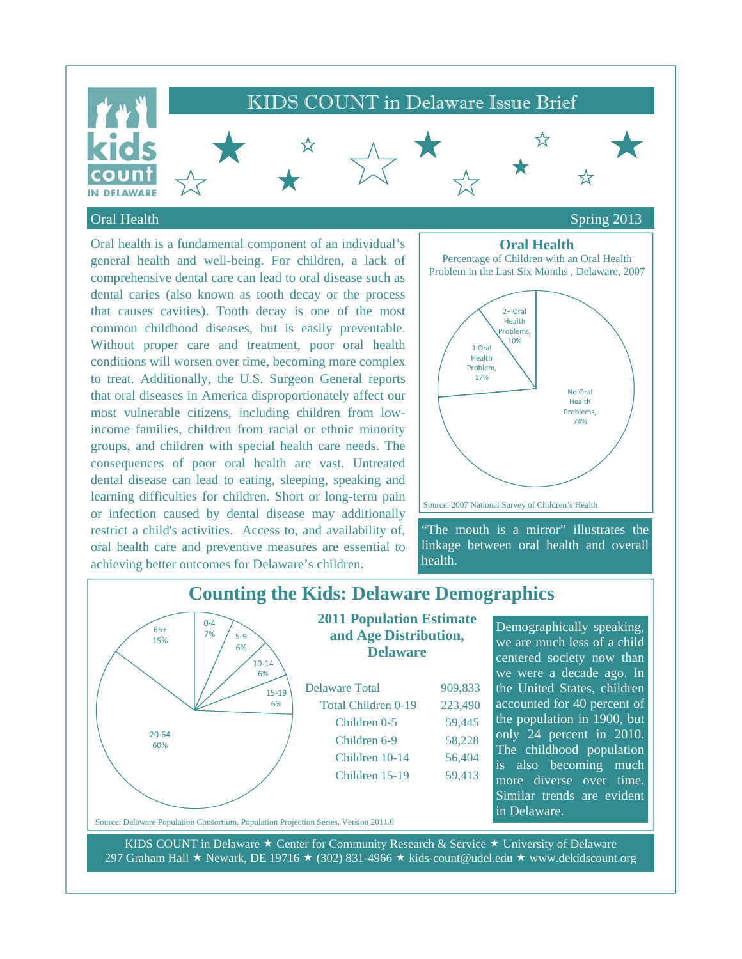

### Oral Health Spring 2013

Oral health is a fundamental component of an individual's general health and well-being. For children, a lack of comprehensive dental care can lead to oral disease such as dental caries (also known as tooth decay or the process that causes cavities). Tooth decay is one of the most common childhood diseases, but is easily preventable. Without proper care and treatment, poor oral health conditions will worsen over time, becoming more complex to treat. Additionally, the U.S. Surgeon General reports that oral diseases in America disproportionately affect our most vulnerable citizens, including children from lowincome families, children from racial or ethnic minority groups, and children with special health care needs. The consequences of poor oral health are vast. Untreated dental disease can lead to eating, sleeping, speaking and learning difficulties for children. Short or long-term pain or infection caused by dental disease may additionally restrict a child's activities. Access to, and availability of, oral health care and preventive measures are essential to achieving better outcomes for Delaware's children.

## **Oral Health**



"The mouth is a mirror" illustrates the linkage between oral health and overall health.

#### **Counting the Kids: Delaware Demographics 2011 Population Estimate and Age Distribution, Delaware**  Delaware Total 909,833 Total Children 0-19 223,490 Children 0-5 59,445 Demographically speaking, we are much less of a child centered society now than we were a decade ago. In the United States, children  $0 - 4$ <br>7% 5-9 6% 10‐14 6% 15‐19 6% 65+ 15%

accounted for 40 percent of the population in 1900, but only 24 percent in 2010. The childhood population is also becoming much more diverse over time. Similar trends are evident in Delaware.

Source: Delaware Population Consortium, Population Projection Series, Version 2011.0

20‐64 60%

KIDS COUNT in Delaware  $\star$  Center for Community Research & Service  $\star$  University of Delaware 297 Graham Hall  $\star$  Newark, DE 19716  $\star$  (302) 831-4966  $\star$  kids-count@udel.edu  $\star$  www.dekidscount.org

 Children 6-9 58,228 Children 10-14 56,404 Children 15-19 59,413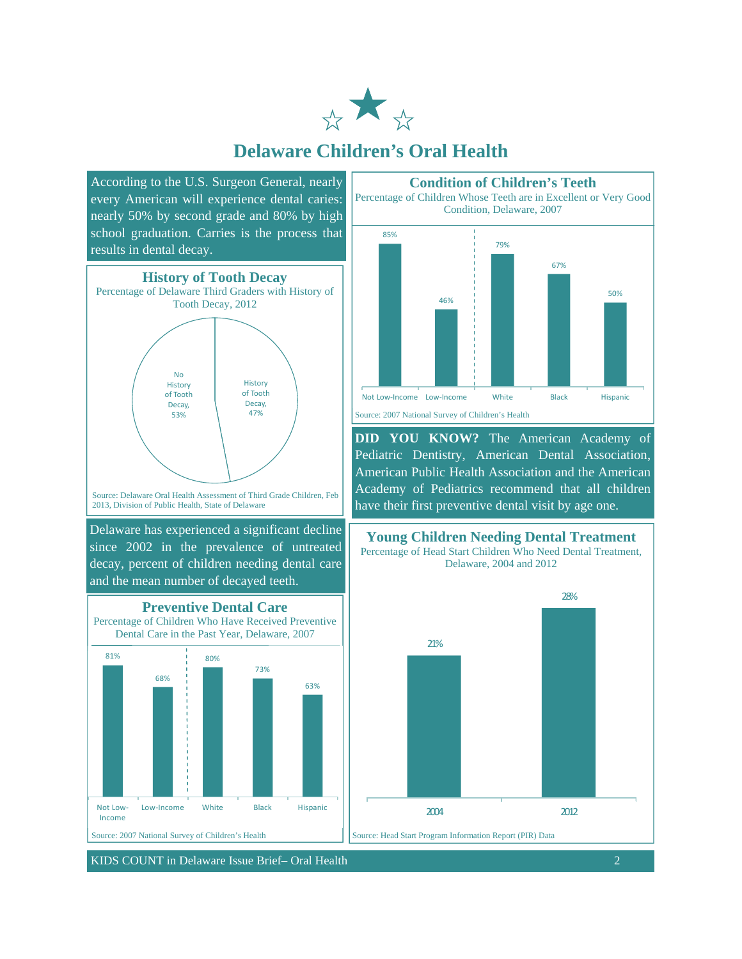

## **Delaware Children's Oral Health**

According to the U.S. Surgeon General, nearly every American will experience dental caries: nearly 50% by second grade and 80% by high school graduation. Carries is the process that results in dental decay.



2013, Division of Public Health, State of Delaware

Delaware has experienced a significant decline since 2002 in the prevalence of untreated decay, percent of children needing dental care and the mean number of decayed teeth.





KIDS COUNT in Delaware Issue Brief– Oral Health 2



**DID YOU KNOW?** The American Academy of Pediatric Dentistry, American Dental Association, American Public Health Association and the American Academy of Pediatrics recommend that all children have their first preventive dental visit by age one.



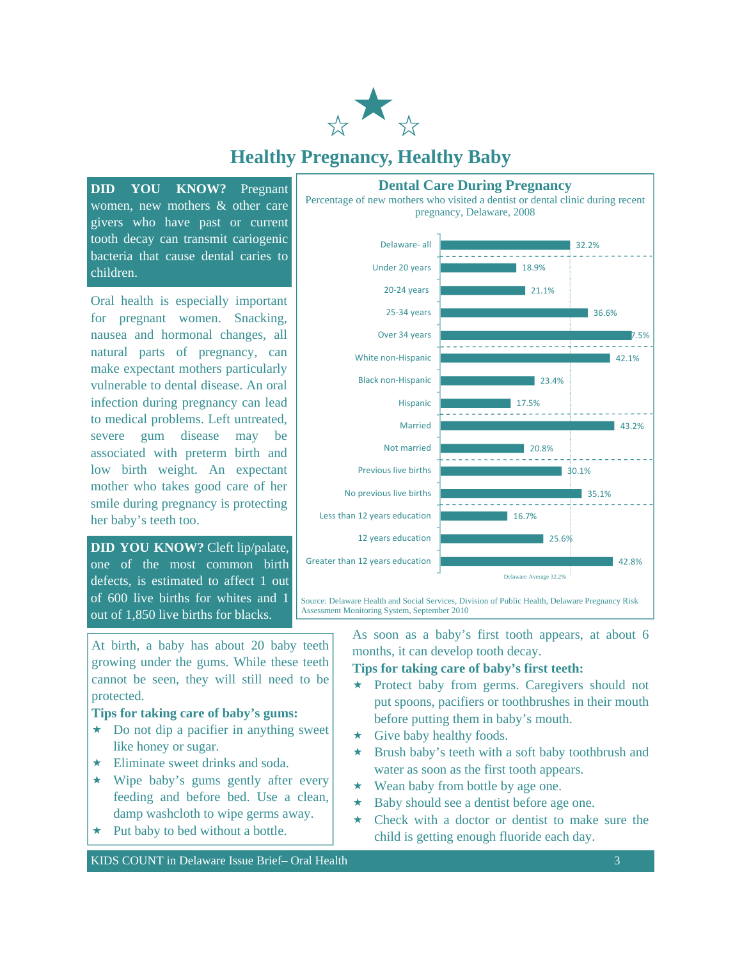

# **Healthy Pregnancy, Healthy Baby**

**DID YOU KNOW?** Pregnant women, new mothers & other care givers who have past or current tooth decay can transmit cariogenic bacteria that cause dental caries to children.

Oral health is especially important for pregnant women. Snacking, nausea and hormonal changes, all natural parts of pregnancy, can make expectant mothers particularly vulnerable to dental disease. An oral infection during pregnancy can lead to medical problems. Left untreated, severe gum disease may be associated with preterm birth and low birth weight. An expectant mother who takes good care of her smile during pregnancy is protecting her baby's teeth too.

**DID YOU KNOW?** Cleft lip/palate, one of the most common birth defects, is estimated to affect 1 out of 600 live births for whites and 1 out of 1,850 live births for blacks.

At birth, a baby has about 20 baby teeth growing under the gums. While these teeth cannot be seen, they will still need to be protected.

#### **Tips for taking care of baby's gums:**

- $\star$  Do not dip a pacifier in anything sweet like honey or sugar.
- $\star$  Eliminate sweet drinks and soda.
- $\star$  Wipe baby's gums gently after every feeding and before bed. Use a clean, damp washcloth to wipe germs away.
- $\star$  Put baby to bed without a bottle.

KIDS COUNT in Delaware Issue Brief– Oral Health 3 3



Assessment Monitoring System, September 2010

As soon as a baby's first tooth appears, at about 6 months, it can develop tooth decay.

#### **Tips for taking care of baby's first teeth:**

- Protect baby from germs. Caregivers should not put spoons, pacifiers or toothbrushes in their mouth before putting them in baby's mouth.
- $\star$  Give baby healthy foods.
- $\star$  Brush baby's teeth with a soft baby toothbrush and water as soon as the first tooth appears.
- $\star$  Wean baby from bottle by age one.
- $\star$  Baby should see a dentist before age one.
- Check with a doctor or dentist to make sure the child is getting enough fluoride each day.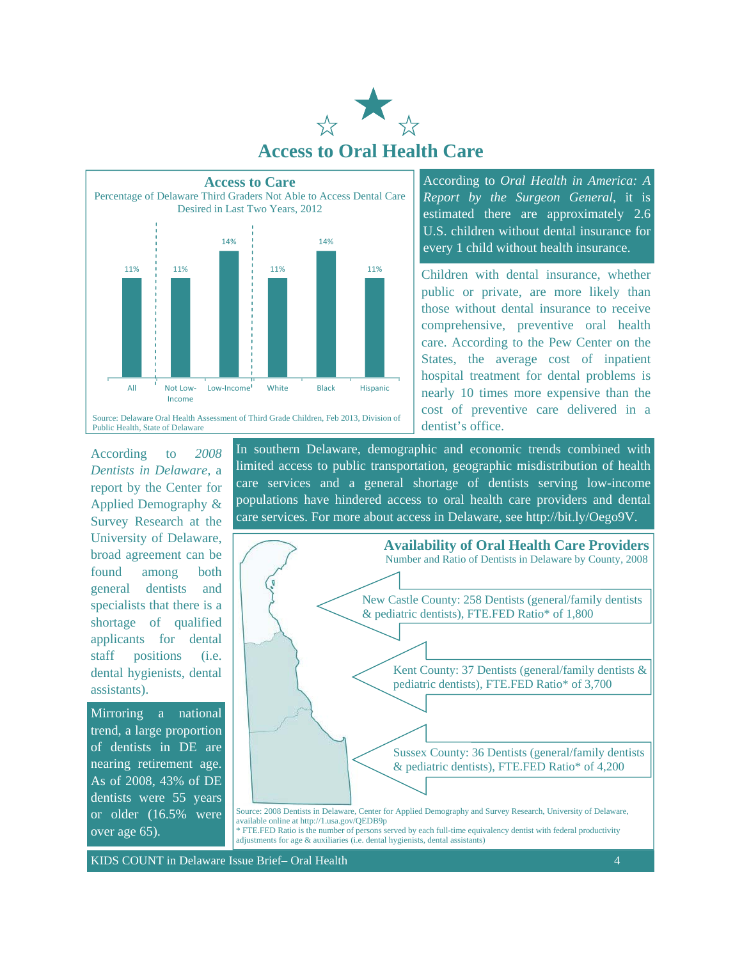



According to *Oral Health in America: A Report by the Surgeon General*, it is estimated there are approximately 2.6 U.S. children without dental insurance for every 1 child without health insurance.

Children with dental insurance, whether public or private, are more likely than those without dental insurance to receive comprehensive, preventive oral health care. According to the Pew Center on the States, the average cost of inpatient hospital treatment for dental problems is nearly 10 times more expensive than the cost of preventive care delivered in a dentist's office.

According to *2008 Dentists in Delaware,* a report by the Center for Applied Demography & Survey Research at the University of Delaware, broad agreement can be found among both general dentists and specialists that there is a shortage of qualified applicants for dental staff positions (i.e. dental hygienists, dental assistants).

Mirroring a national trend, a large proportion of dentists in DE are nearing retirement age. As of 2008, 43% of DE dentists were 55 years or older (16.5% were over age 65).

In southern Delaware, demographic and economic trends combined with limited access to public transportation, geographic misdistribution of health care services and a general shortage of dentists serving low-income populations have hindered access to oral health care providers and dental care services. For more about access in Delaware, see http://bit.ly/Oego9V.



adjustments for age & auxiliaries (i.e. dental hygienists, dental assistants)

KIDS COUNT in Delaware Issue Brief– Oral Health 4 and 2008 and 2008 and 4 and 4 and 4 and 4 and 4 and 4 and 4 and 4 and 4 and 4 and 4 and 4 and 4 and 4 and 4 and 4 and 4 and 4 and 4 and 4 and 4 and 4 and 4 and 4 and 4 and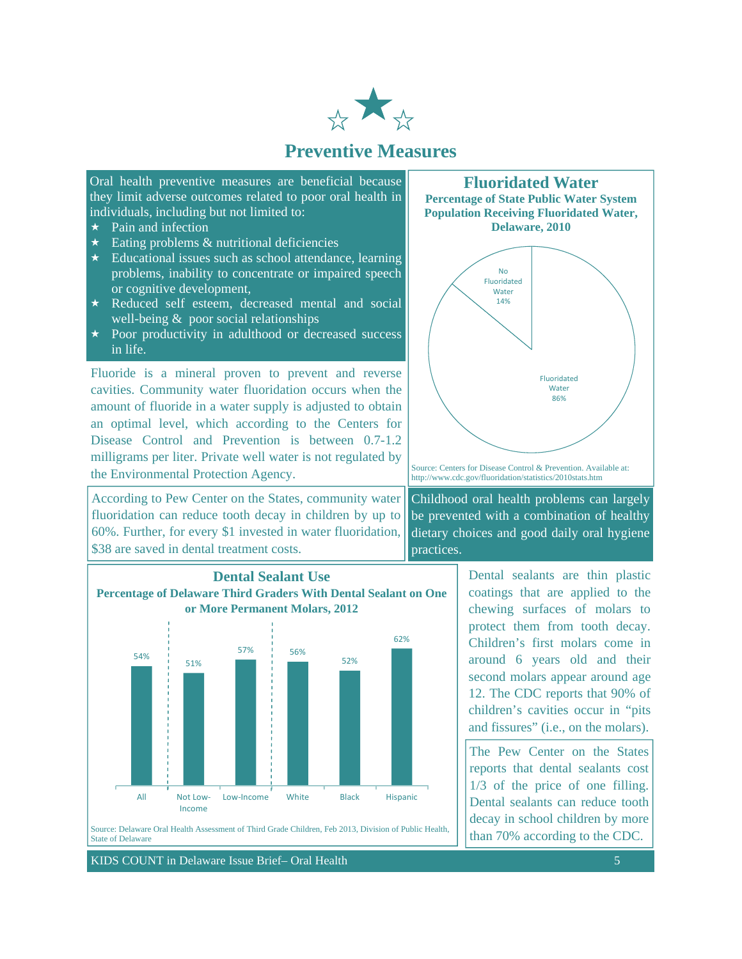

## **Preventive Measures**

Oral health preventive measures are beneficial because they limit adverse outcomes related to poor oral health in individuals, including but not limited to:

- $\star$  Pain and infection
- $\star$  Eating problems & nutritional deficiencies
- $\star$  Educational issues such as school attendance, learning problems, inability to concentrate or impaired speech or cognitive development,
- $\star$  Reduced self esteem, decreased mental and social well-being  $\&$  poor social relationships
- $\star$  Poor productivity in adulthood or decreased success in life.

Fluoride is a mineral proven to prevent and reverse cavities. Community water fluoridation occurs when the amount of fluoride in a water supply is adjusted to obtain an optimal level, which according to the Centers for Disease Control and Prevention is between 0.7-1.2 milligrams per liter. Private well water is not regulated by the Environmental Protection Agency.

According to Pew Center on the States, community water fluoridation can reduce tooth decay in children by up to 60%. Further, for every \$1 invested in water fluoridation, \$38 are saved in dental treatment costs.



KIDS COUNT in Delaware Issue Brief– Oral Health 5 and 5 and 5 and 5 and 5 and 5 and 5 and 5 and 5 and 5 and 5 and 5 and 5 and 5 and 5 and 5 and 5 and 5 and 5 and 5 and 5 and 5 and 5 and 5 and 5 and 5 and 5 and 5 and 5 and

**Fluoridated Water** 





Source: Centers for Disease Control & Prevention. Available at: http://www.cdc.gov/fluoridation/statistics/2010stats.htm

Childhood oral health problems can largely be prevented with a combination of healthy dietary choices and good daily oral hygiene practices.

> Dental sealants are thin plastic coatings that are applied to the chewing surfaces of molars to protect them from tooth decay. Children's first molars come in around 6 years old and their second molars appear around age 12. The CDC reports that 90% of children's cavities occur in "pits and fissures" (i.e., on the molars).

> The Pew Center on the States reports that dental sealants cost 1/3 of the price of one filling. Dental sealants can reduce tooth decay in school children by more than 70% according to the CDC.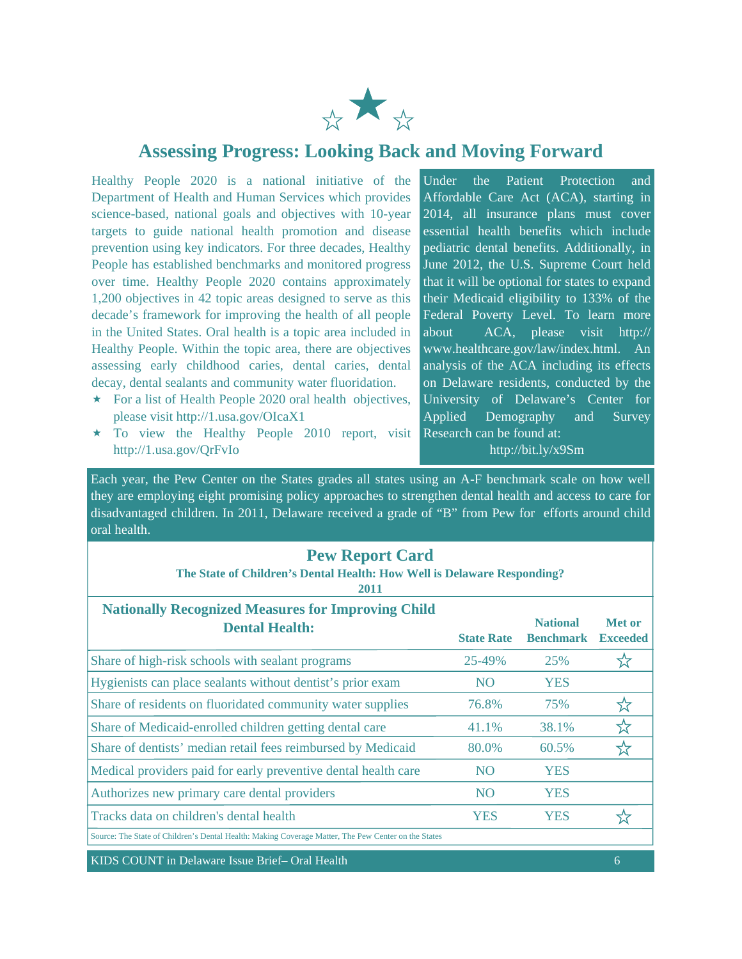

## **Assessing Progress: Looking Back and Moving Forward**

Healthy People 2020 is a national initiative of the Department of Health and Human Services which provides science-based, national goals and objectives with 10-year targets to guide national health promotion and disease prevention using key indicators. For three decades, Healthy People has established benchmarks and monitored progress over time. Healthy People 2020 contains approximately 1,200 objectives in 42 topic areas designed to serve as this decade's framework for improving the health of all people in the United States. Oral health is a topic area included in Healthy People. Within the topic area, there are objectives assessing early childhood caries, dental caries, dental decay, dental sealants and community water fluoridation.

- $\star$  For a list of Health People 2020 oral health objectives, please visit http://1.usa.gov/OIcaX1
- $\star$  To view the Healthy People 2010 report, visit http://1.usa.gov/QrFvIo

Under the Patient Protection and Affordable Care Act (ACA), starting in 2014, all insurance plans must cover essential health benefits which include pediatric dental benefits. Additionally, in June 2012, the U.S. Supreme Court held that it will be optional for states to expand their Medicaid eligibility to 133% of the Federal Poverty Level. To learn more about ACA, please visit http:// www.healthcare.gov/law/index.html. An analysis of the ACA including its effects on Delaware residents, conducted by the University of Delaware's Center for Applied Demography and Survey Research can be found at:

http://bit.ly/x9Sm

Each year, the Pew Center on the States grades all states using an A-F benchmark scale on how well they are employing eight promising policy approaches to strengthen dental health and access to care for disadvantaged children. In 2011, Delaware received a grade of "B" from Pew for efforts around child oral health.

| <b>Pew Report Card</b><br>The State of Children's Dental Health: How Well is Delaware Responding?<br>2011 |                   |                                     |                                  |
|-----------------------------------------------------------------------------------------------------------|-------------------|-------------------------------------|----------------------------------|
| <b>Nationally Recognized Measures for Improving Child</b><br><b>Dental Health:</b>                        | <b>State Rate</b> | <b>National</b><br><b>Benchmark</b> | <b>Met or</b><br><b>Exceeded</b> |
| Share of high-risk schools with sealant programs                                                          | 25-49%            | 25%                                 |                                  |
| Hygienists can place sealants without dentist's prior exam                                                | N <sub>O</sub>    | <b>YES</b>                          |                                  |
| Share of residents on fluoridated community water supplies                                                | 76.8%             | 75%                                 | ☆                                |
| Share of Medicaid-enrolled children getting dental care                                                   | 41.1%             | 38.1%                               | ☆                                |
| Share of dentists' median retail fees reimbursed by Medicaid                                              | 80.0%             | 60.5%                               |                                  |
| Medical providers paid for early preventive dental health care                                            | <b>NO</b>         | <b>YES</b>                          |                                  |
| Authorizes new primary care dental providers                                                              | N <sub>O</sub>    | <b>YES</b>                          |                                  |
| Tracks data on children's dental health                                                                   | <b>YES</b>        | <b>YES</b>                          |                                  |
| Source: The State of Children's Dental Health: Making Coverage Matter, The Pew Center on the States       |                   |                                     |                                  |
|                                                                                                           |                   |                                     |                                  |

KIDS COUNT in Delaware Issue Brief– Oral Health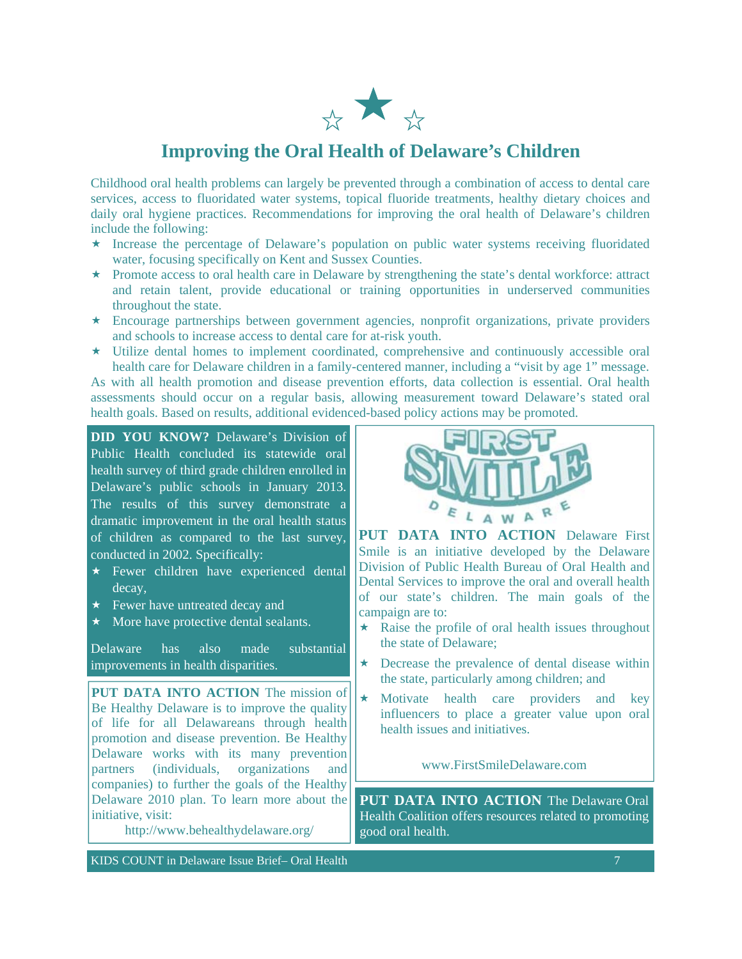

## **Improving the Oral Health of Delaware's Children**

Childhood oral health problems can largely be prevented through a combination of access to dental care services, access to fluoridated water systems, topical fluoride treatments, healthy dietary choices and daily oral hygiene practices. Recommendations for improving the oral health of Delaware's children include the following:

- \* Increase the percentage of Delaware's population on public water systems receiving fluoridated water, focusing specifically on Kent and Sussex Counties.
- Promote access to oral health care in Delaware by strengthening the state's dental workforce: attract and retain talent, provide educational or training opportunities in underserved communities throughout the state.
- Encourage partnerships between government agencies, nonprofit organizations, private providers and schools to increase access to dental care for at-risk youth.
- Utilize dental homes to implement coordinated, comprehensive and continuously accessible oral health care for Delaware children in a family-centered manner, including a "visit by age 1" message.

As with all health promotion and disease prevention efforts, data collection is essential. Oral health assessments should occur on a regular basis, allowing measurement toward Delaware's stated oral health goals. Based on results, additional evidenced-based policy actions may be promoted.

**DID YOU KNOW?** Delaware's Division of Public Health concluded its statewide oral health survey of third grade children enrolled in Delaware's public schools in January 2013. The results of this survey demonstrate a dramatic improvement in the oral health status of children as compared to the last survey, conducted in 2002. Specifically:

- $\star$  Fewer children have experienced dental decay,
- $\star$  Fewer have untreated decay and
- $\star$  More have protective dental sealants.

Delaware has also made substantial improvements in health disparities.

**PUT DATA INTO ACTION** The mission of Be Healthy Delaware is to improve the quality of life for all Delawareans through health promotion and disease prevention. Be Healthy Delaware works with its many prevention partners (individuals, organizations and companies) to further the goals of the Healthy Delaware 2010 plan. To learn more about the initiative, visit:

http://www.behealthydelaware.org/

R LAWA

**PUT DATA INTO ACTION** Delaware First Smile is an initiative developed by the Delaware Division of Public Health Bureau of Oral Health and Dental Services to improve the oral and overall health of our state's children. The main goals of the campaign are to:

- $\star$  Raise the profile of oral health issues throughout the state of Delaware;
- $\star$  Decrease the prevalence of dental disease within the state, particularly among children; and
- \* Motivate health care providers and key influencers to place a greater value upon oral health issues and initiatives.

www.FirstSmileDelaware.com

**PUT DATA INTO ACTION** The Delaware Oral Health Coalition offers resources related to promoting good oral health.

KIDS COUNT in Delaware Issue Brief– Oral Health 7 and 7 and 7 and 7 and 7 and 7 and 7 and 7 and 7 and 7 and 7 and 7 and 7 and 7 and 7 and 7 and 7 and 7 and 7 and 7 and 7 and 7 and 7 and 7 and 7 and 7 and 7 and 7 and 7 and